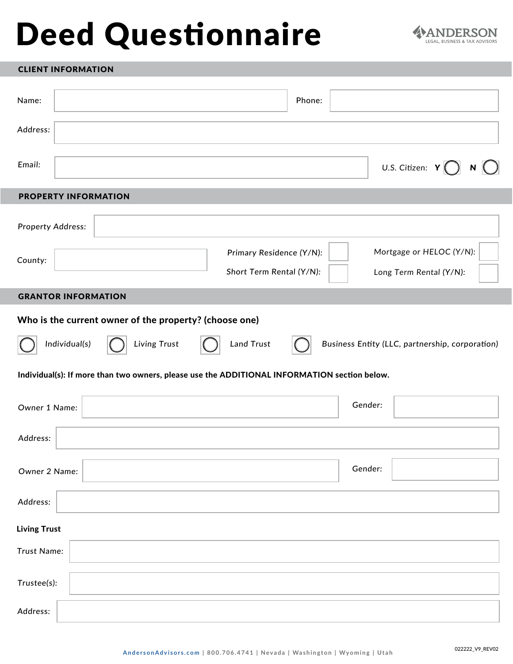# Deed Questionnaire



#### CLIENT INFORMATION

| Name:                                                                                        | Phone:                                               |                                                     |  |
|----------------------------------------------------------------------------------------------|------------------------------------------------------|-----------------------------------------------------|--|
| Address:                                                                                     |                                                      |                                                     |  |
| Email:                                                                                       |                                                      | U.S. Citizen: $Y$<br>N                              |  |
| <b>PROPERTY INFORMATION</b>                                                                  |                                                      |                                                     |  |
| <b>Property Address:</b>                                                                     |                                                      |                                                     |  |
| County:                                                                                      | Primary Residence (Y/N):<br>Short Term Rental (Y/N): | Mortgage or HELOC (Y/N):<br>Long Term Rental (Y/N): |  |
| <b>GRANTOR INFORMATION</b>                                                                   |                                                      |                                                     |  |
| Who is the current owner of the property? (choose one)                                       |                                                      |                                                     |  |
| Living Trust<br>Individual(s)                                                                | <b>Land Trust</b>                                    | Business Entity (LLC, partnership, corporation)     |  |
| Individual(s): If more than two owners, please use the ADDITIONAL INFORMATION section below. |                                                      |                                                     |  |
| Owner 1 Name:                                                                                |                                                      | Gender:                                             |  |
| Address:                                                                                     |                                                      |                                                     |  |
| Owner 2 Name:                                                                                |                                                      | Gender:                                             |  |
| Address:                                                                                     |                                                      |                                                     |  |
| <b>Living Trust</b>                                                                          |                                                      |                                                     |  |
| Trust Name:                                                                                  |                                                      |                                                     |  |
| Trustee(s):                                                                                  |                                                      |                                                     |  |
| Address:                                                                                     |                                                      |                                                     |  |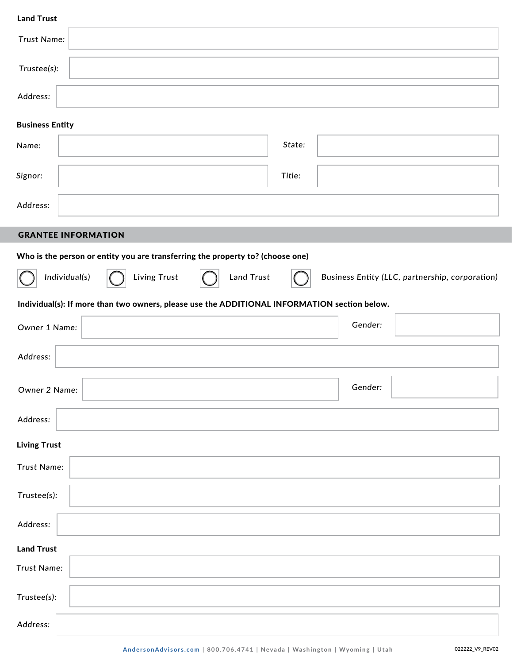| <b>Land Trust</b>                                                                            |                   |         |                                                 |
|----------------------------------------------------------------------------------------------|-------------------|---------|-------------------------------------------------|
| Trust Name:                                                                                  |                   |         |                                                 |
| Trustee(s):                                                                                  |                   |         |                                                 |
| Address:                                                                                     |                   |         |                                                 |
| <b>Business Entity</b>                                                                       |                   |         |                                                 |
| Name:                                                                                        | State:            |         |                                                 |
| Signor:                                                                                      | Title:            |         |                                                 |
| Address:                                                                                     |                   |         |                                                 |
| <b>GRANTEE INFORMATION</b>                                                                   |                   |         |                                                 |
|                                                                                              |                   |         |                                                 |
| Who is the person or entity you are transferring the property to? (choose one)               |                   |         |                                                 |
| Individual(s)<br>Living Trust                                                                | <b>Land Trust</b> |         | Business Entity (LLC, partnership, corporation) |
| Individual(s): If more than two owners, please use the ADDITIONAL INFORMATION section below. |                   |         |                                                 |
| Owner 1 Name:                                                                                |                   | Gender: |                                                 |
| Address:                                                                                     |                   |         |                                                 |
| Owner 2 Name:                                                                                |                   | Gender: |                                                 |
| Address:                                                                                     |                   |         |                                                 |
| <b>Living Trust</b>                                                                          |                   |         |                                                 |
| Trust Name:                                                                                  |                   |         |                                                 |
| Trustee(s):                                                                                  |                   |         |                                                 |
| Address:                                                                                     |                   |         |                                                 |
| <b>Land Trust</b>                                                                            |                   |         |                                                 |
| Trust Name:                                                                                  |                   |         |                                                 |
| Trustee(s):                                                                                  |                   |         |                                                 |
| Address:                                                                                     |                   |         |                                                 |